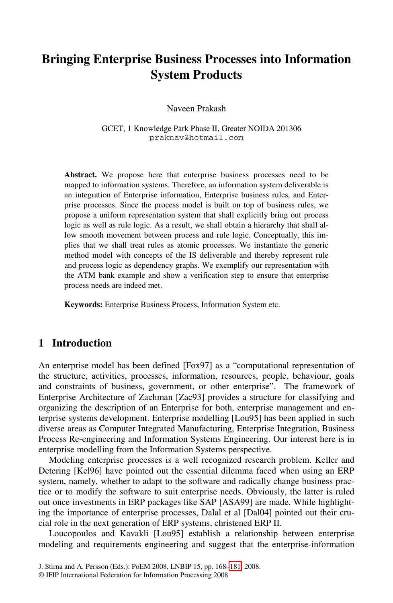# **Bringing Enterprise Business Processes into Information System Products**

Naveen Prakash

GCET, 1 Knowledge Park Phase II, Greater NOIDA 201306 praknav@hotmail.com

**Abstract.** We propose here that enterprise business processes need to be mapped to information systems. Therefore, an information system deliverable is an integration of Enterprise information, Enterprise business rules, and Enterprise processes. Since the process model is built on top of business rules, we propose a uniform representation system that shall explicitly bring out process logic as well as rule logic. As a result, we shall obtain a hierarchy that shall allow smooth movement between process and rule logic. Conceptually, this implies that we shall treat rules as atomic processes. We instantiate the generic method model with concepts of the IS deliverable and thereby represent rule and process logic as dependency graphs. We exemplify our representation with the ATM bank example and show a verification step to ensure that enterprise process needs are indeed met.

**Keywords:** Enterprise Business Process, Information System etc.

# **1 Introduction**

An enterprise model has been defined [Fox97] as a "computational representation of the structure, activities, processes, information, resources, people, behaviour, goals and constraints of business, government, or other enterprise". The framework of Enterprise Architecture of Zachman [Zac93] provides a structure for classifying and organizing the description of an Enterprise for both, enterprise management and enterprise systems development. Enterprise modelling [Lou95] has been applied in such diverse areas as Computer Integrated Manufacturing, Enterprise Integration, Business Process Re-engineering and Information Systems Engineering. Our interest here is in enterprise modelling from the Information Systems perspective.

Modeling enterprise processes is a well recognized research problem. Keller and Detering [Kel96] have pointed out the essential dilemma faced when using an ERP system, namely, whether to ad[apt t](#page-13-0)o the software and radically change business practice or to modify the software to suit enterprise needs. Obviously, the latter is ruled out once investments in ERP packages like SAP [ASA99] are made. While highlighting the importance of enterprise processes, Dalal et al [Dal04] pointed out their crucial role in the next generation of ERP systems, christened ERP II.

Loucopoulos and Kavakli [Lou95] establish a relationship between enterprise modeling and requirements engineering and suggest that the enterprise-information

J. Stirna and A. Persson (Eds.): PoEM 2008, LNBIP 15, pp. 168–181, 2008.

<sup>©</sup> IFIP International Federation for Information Processing 2008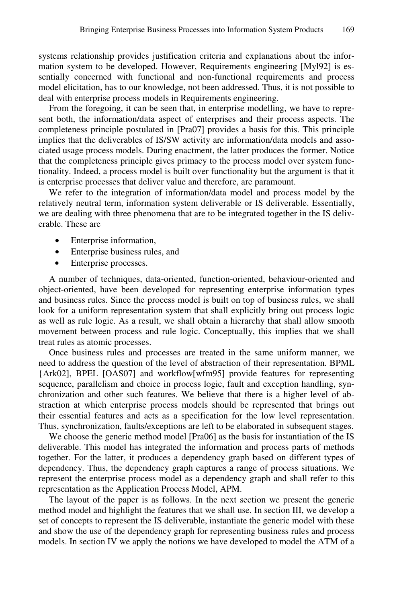systems relationship provides justification criteria and explanations about the information system to be developed. However, Requirements engineering [Myl92] is essentially concerned with functional and non-functional requirements and process model elicitation, has to our knowledge, not been addressed. Thus, it is not possible to deal with enterprise process models in Requirements engineering.

From the foregoing, it can be seen that, in enterprise modelling, we have to represent both, the information/data aspect of enterprises and their process aspects. The completeness principle postulated in [Pra07] provides a basis for this. This principle implies that the deliverables of IS/SW activity are information/data models and associated usage process models. During enactment, the latter produces the former. Notice that the completeness principle gives primacy to the process model over system functionality. Indeed, a process model is built over functionality but the argument is that it is enterprise processes that deliver value and therefore, are paramount.

We refer to the integration of information/data model and process model by the relatively neutral term, information system deliverable or IS deliverable. Essentially, we are dealing with three phenomena that are to be integrated together in the IS deliverable. These are

- Enterprise information,
- Enterprise business rules, and
- Enterprise processes.

A number of techniques, data-oriented, function-oriented, behaviour-oriented and object-oriented, have been developed for representing enterprise information types and business rules. Since the process model is built on top of business rules, we shall look for a uniform representation system that shall explicitly bring out process logic as well as rule logic. As a result, we shall obtain a hierarchy that shall allow smooth movement between process and rule logic. Conceptually, this implies that we shall treat rules as atomic processes.

Once business rules and processes are treated in the same uniform manner, we need to address the question of the level of abstraction of their representation. BPML {Ark02], BPEL [OAS07] and workflow[wfm95] provide features for representing sequence, parallelism and choice in process logic, fault and exception handling, synchronization and other such features. We believe that there is a higher level of abstraction at which enterprise process models should be represented that brings out their essential features and acts as a specification for the low level representation. Thus, synchronization, faults/exceptions are left to be elaborated in subsequent stages.

We choose the generic method model [Pra06] as the basis for instantiation of the IS deliverable. This model has integrated the information and process parts of methods together. For the latter, it produces a dependency graph based on different types of dependency. Thus, the dependency graph captures a range of process situations. We represent the enterprise process model as a dependency graph and shall refer to this representation as the Application Process Model, APM.

The layout of the paper is as follows. In the next section we present the generic method model and highlight the features that we shall use. In section III, we develop a set of concepts to represent the IS deliverable, instantiate the generic model with these and show the use of the dependency graph for representing business rules and process models. In section IV we apply the notions we have developed to model the ATM of a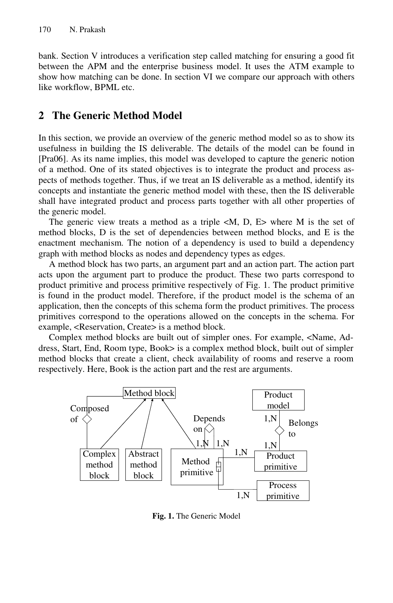bank. Section V introduces a verification step called matching for ensuring a good fit between the APM and the enterprise business model. It uses the ATM example to show how matching can be done. In section VI we compare our approach with others like workflow, BPML etc.

# **2 The Generic Method Model**

In this section, we provide an overview of the generic method model so as to show its usefulness in building the IS deliverable. The details of the model can be found in [Pra06]. As its name implies, this model was developed to capture the generic notion of a method. One of its stated objectives is to integrate the product and process aspects of methods together. Thus, if we treat an IS deliverable as a method, identify its concepts and instantiate the generic method model with these, then the IS deliverable shall have integrated product and process parts together with all other properties of the generic model.

The generic view treats a method as a triple  $\langle M, D, E \rangle$  where M is the set of method blocks, D is the set of dependencies between method blocks, and E is the enactment mechanism. The notion of a dependency is used to build a dependency graph with method blocks as nodes and dependency types as edges.

A method block has two parts, an argument part and an action part. The action part acts upon the argument part to produce the product. These two parts correspond to product primitive and process primitive respectively of Fig. 1. The product primitive is found in the product model. Therefore, if the product model is the schema of an application, then the concepts of this schema form the product primitives. The process primitives correspond to the operations allowed on the concepts in the schema. For example, <Reservation, Create> is a method block.

Complex method blocks are built out of simpler ones. For example, <Name, Address, Start, End, Room type, Book> is a complex method block, built out of simpler method blocks that create a client, check availability of rooms and reserve a room respectively. Here, Book is the action part and the rest are arguments.



**Fig. 1.** The Generic Model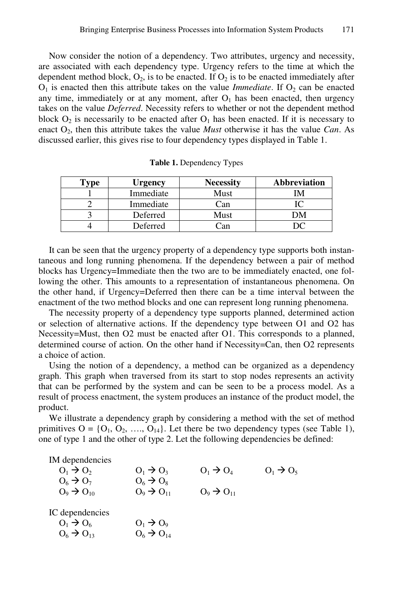Now consider the notion of a dependency. Two attributes, urgency and necessity, are associated with each dependency type. Urgency refers to the time at which the dependent method block,  $O_2$ , is to be enacted. If  $O_2$  is to be enacted immediately after  $O_1$  is enacted then this attribute takes on the value *Immediate*. If  $O_2$  can be enacted any time, immediately or at any moment, after  $O_1$  has been enacted, then urgency takes on the value *Deferred*. Necessity refers to whether or not the dependent method block  $O_2$  is necessarily to be enacted after  $O_1$  has been enacted. If it is necessary to enact  $O_2$ , then this attribute takes the value *Must* otherwise it has the value *Can*. As discussed earlier, this gives rise to four dependency types displayed in Table 1.

| `vpe | Urgency   | <b>Necessity</b> | <b>Abbreviation</b> |
|------|-----------|------------------|---------------------|
|      | Immediate | Must             |                     |
|      | Immediate | ∠an              |                     |
|      | Deferred  | Must             |                     |
|      | Deferred  | `Q n             |                     |

**Table 1.** Dependency Types

It can be seen that the urgency property of a dependency type supports both instantaneous and long running phenomena. If the dependency between a pair of method blocks has Urgency=Immediate then the two are to be immediately enacted, one following the other. This amounts to a representation of instantaneous phenomena. On the other hand, if Urgency=Deferred then there can be a time interval between the enactment of the two method blocks and one can represent long running phenomena.

The necessity property of a dependency type supports planned, determined action or selection of alternative actions. If the dependency type between O1 and O2 has Necessity=Must, then O2 must be enacted after O1. This corresponds to a planned, determined course of action. On the other hand if Necessity=Can, then O2 represents a choice of action.

Using the notion of a dependency, a method can be organized as a dependency graph. This graph when traversed from its start to stop nodes represents an activity that can be performed by the system and can be seen to be a process model. As a result of process enactment, the system produces an instance of the product model, the product.

We illustrate a dependency graph by considering a method with the set of method primitives  $O = \{O_1, O_2, \ldots, O_{14}\}.$  Let there be two dependency types (see Table 1), one of type 1 and the other of type 2. Let the following dependencies be defined:

IM dependencies

| $O_1 \rightarrow O_2$    | $O_1 \rightarrow O_3$    | $O_1 \rightarrow O_4$ | $O_1 \rightarrow O_5$ |
|--------------------------|--------------------------|-----------------------|-----------------------|
| $O_6 \rightarrow O_7$    | $O_6 \rightarrow O_8$    |                       |                       |
| $O_9 \rightarrow O_{10}$ | $O_9 \to O_{11}$         | $O_9 \to O_{11}$      |                       |
|                          |                          |                       |                       |
| IC dependencies          |                          |                       |                       |
| $O_1 \rightarrow O_6$    | $O_1 \rightarrow O_9$    |                       |                       |
| $O_6 \rightarrow O_{13}$ | $O_6 \rightarrow O_{14}$ |                       |                       |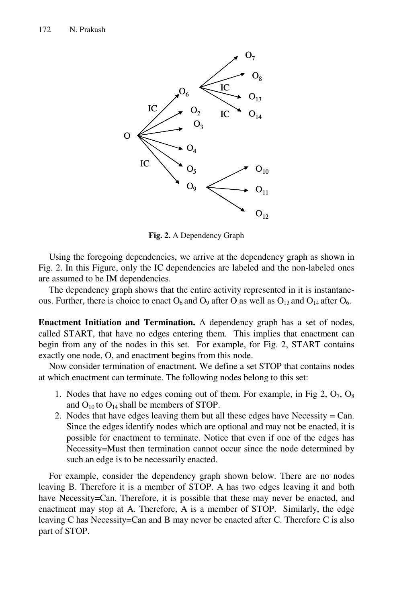

**Fig. 2.** A Dependency Graph

Using the foregoing dependencies, we arrive at the dependency graph as shown in Fig. 2. In this Figure, only the IC dependencies are labeled and the non-labeled ones are assumed to be IM dependencies.

The dependency graph shows that the entire activity represented in it is instantaneous. Further, there is choice to enact  $O_6$  and  $O_9$  after O as well as  $O_{13}$  and  $O_{14}$  after  $O_6$ .

**Enactment Initiation and Termination.** A dependency graph has a set of nodes, called START, that have no edges entering them. This implies that enactment can begin from any of the nodes in this set. For example, for Fig. 2, START contains exactly one node, O, and enactment begins from this node.

Now consider termination of enactment. We define a set STOP that contains nodes at which enactment can terminate. The following nodes belong to this set:

- 1. Nodes that have no edges coming out of them. For example, in Fig 2,  $O_7$ ,  $O_8$ and  $O_{10}$  to  $O_{14}$  shall be members of STOP.
- 2. Nodes that have edges leaving them but all these edges have Necessity  $=$  Can. Since the edges identify nodes which are optional and may not be enacted, it is possible for enactment to terminate. Notice that even if one of the edges has Necessity=Must then termination cannot occur since the node determined by such an edge is to be necessarily enacted.

For example, consider the dependency graph shown below. There are no nodes leaving B. Therefore it is a member of STOP. A has two edges leaving it and both have Necessity=Can. Therefore, it is possible that these may never be enacted, and enactment may stop at A. Therefore, A is a member of STOP. Similarly, the edge leaving C has Necessity=Can and B may never be enacted after C. Therefore C is also part of STOP.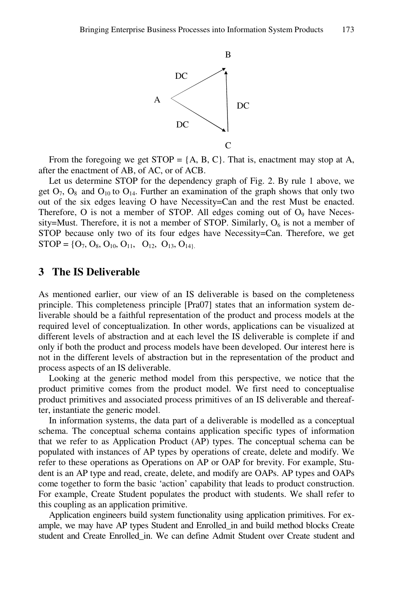

From the foregoing we get  $STOP = \{A, B, C\}$ . That is, enactment may stop at A, after the enactment of AB, of AC, or of ACB.

Let us determine STOP for the dependency graph of Fig. 2. By rule 1 above, we get  $O_7$ ,  $O_8$  and  $O_{10}$  to  $O_{14}$ . Further an examination of the graph shows that only two out of the six edges leaving O have Necessity=Can and the rest Must be enacted. Therefore, O is not a member of STOP. All edges coming out of  $O_9$  have Necessity=Must. Therefore, it is not a member of STOP. Similarly,  $O_6$  is not a member of STOP because only two of its four edges have Necessity=Can. Therefore, we get  $STOP = \{O_7, O_8, O_{10}, O_{11}, O_{12}, O_{13}, O_{14}\}.$ 

#### **3 The IS Deliverable**

As mentioned earlier, our view of an IS deliverable is based on the completeness principle. This completeness principle [Pra07] states that an information system deliverable should be a faithful representation of the product and process models at the required level of conceptualization. In other words, applications can be visualized at different levels of abstraction and at each level the IS deliverable is complete if and only if both the product and process models have been developed. Our interest here is not in the different levels of abstraction but in the representation of the product and process aspects of an IS deliverable.

Looking at the generic method model from this perspective, we notice that the product primitive comes from the product model. We first need to conceptualise product primitives and associated process primitives of an IS deliverable and thereafter, instantiate the generic model.

In information systems, the data part of a deliverable is modelled as a conceptual schema. The conceptual schema contains application specific types of information that we refer to as Application Product (AP) types. The conceptual schema can be populated with instances of AP types by operations of create, delete and modify. We refer to these operations as Operations on AP or OAP for brevity. For example, Student is an AP type and read, create, delete, and modify are OAPs. AP types and OAPs come together to form the basic 'action' capability that leads to product construction. For example, Create Student populates the product with students. We shall refer to this coupling as an application primitive.

Application engineers build system functionality using application primitives. For example, we may have AP types Student and Enrolled\_in and build method blocks Create student and Create Enrolled\_in. We can define Admit Student over Create student and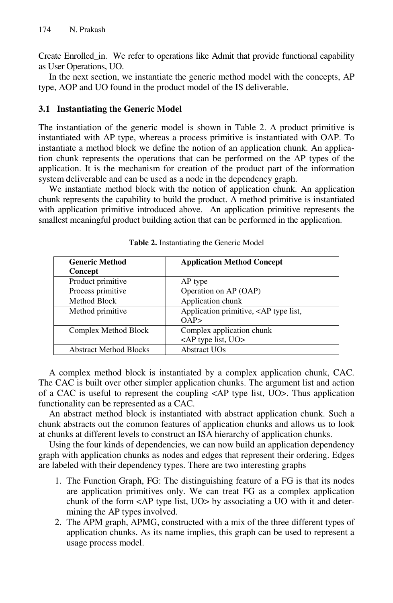Create Enrolled\_in. We refer to operations like Admit that provide functional capability as User Operations, UO.

In the next section, we instantiate the generic method model with the concepts, AP type, AOP and UO found in the product model of the IS deliverable.

### **3.1 Instantiating the Generic Model**

The instantiation of the generic model is shown in Table 2. A product primitive is instantiated with AP type, whereas a process primitive is instantiated with OAP. To instantiate a method block we define the notion of an application chunk. An application chunk represents the operations that can be performed on the AP types of the application. It is the mechanism for creation of the product part of the information system deliverable and can be used as a node in the dependency graph.

We instantiate method block with the notion of application chunk. An application chunk represents the capability to build the product. A method primitive is instantiated with application primitive introduced above. An application primitive represents the smallest meaningful product building action that can be performed in the application.

| <b>Generic Method</b>         | <b>Application Method Concept</b>                        |  |
|-------------------------------|----------------------------------------------------------|--|
| Concept                       |                                                          |  |
| Product primitive             | AP type                                                  |  |
| Process primitive             | Operation on AP (OAP)                                    |  |
| Method Block                  | Application chunk                                        |  |
| Method primitive              | Application primitive, <ap list,<="" td="" type=""></ap> |  |
|                               | OAP                                                      |  |
| Complex Method Block          | Complex application chunk                                |  |
|                               | <ap list,="" type="" uo=""></ap>                         |  |
| <b>Abstract Method Blocks</b> | <b>Abstract UOs</b>                                      |  |

**Table 2.** Instantiating the Generic Model

A complex method block is instantiated by a complex application chunk, CAC. The CAC is built over other simpler application chunks. The argument list and action of a CAC is useful to represent the coupling <AP type list, UO>. Thus application functionality can be represented as a CAC.

An abstract method block is instantiated with abstract application chunk. Such a chunk abstracts out the common features of application chunks and allows us to look at chunks at different levels to construct an ISA hierarchy of application chunks.

Using the four kinds of dependencies, we can now build an application dependency graph with application chunks as nodes and edges that represent their ordering. Edges are labeled with their dependency types. There are two interesting graphs

- 1. The Function Graph, FG: The distinguishing feature of a FG is that its nodes are application primitives only. We can treat FG as a complex application chunk of the form <AP type list, UO> by associating a UO with it and determining the AP types involved.
- 2. The APM graph, APMG, constructed with a mix of the three different types of application chunks. As its name implies, this graph can be used to represent a usage process model.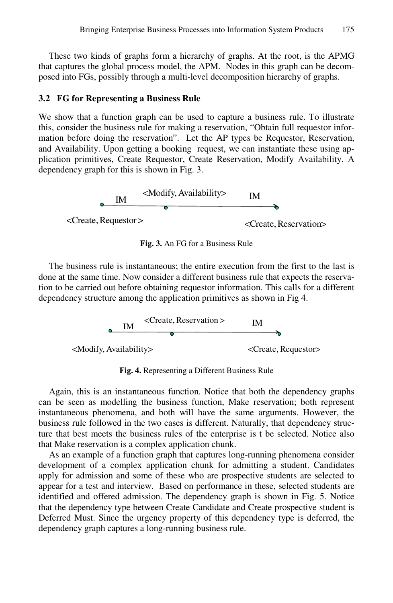These two kinds of graphs form a hierarchy of graphs. At the root, is the APMG that captures the global process model, the APM. Nodes in this graph can be decomposed into FGs, possibly through a multi-level decomposition hierarchy of graphs.

#### **3.2 FG for Representing a Business Rule**

We show that a function graph can be used to capture a business rule. To illustrate this, consider the business rule for making a reservation, "Obtain full requestor information before doing the reservation". Let the AP types be Requestor, Reservation, and Availability. Upon getting a booking request, we can instantiate these using application primitives, Create Requestor, Create Reservation, Modify Availability. A dependency graph for this is shown in Fig. 3.



**Fig. 3.** An FG for a Business Rule

The business rule is instantaneous; the entire execution from the first to the last is done at the same time. Now consider a different business rule that expects the reservation to be carried out before obtaining requestor information. This calls for a different dependency structure among the application primitives as shown in Fig 4.



**Fig. 4.** Representing a Different Business Rule

Again, this is an instantaneous function. Notice that both the dependency graphs can be seen as modelling the business function, Make reservation; both represent instantaneous phenomena, and both will have the same arguments. However, the business rule followed in the two cases is different. Naturally, that dependency structure that best meets the business rules of the enterprise is t be selected. Notice also that Make reservation is a complex application chunk.

As an example of a function graph that captures long-running phenomena consider development of a complex application chunk for admitting a student. Candidates apply for admission and some of these who are prospective students are selected to appear for a test and interview. Based on performance in these, selected students are identified and offered admission. The dependency graph is shown in Fig. 5. Notice that the dependency type between Create Candidate and Create prospective student is Deferred Must. Since the urgency property of this dependency type is deferred, the dependency graph captures a long-running business rule.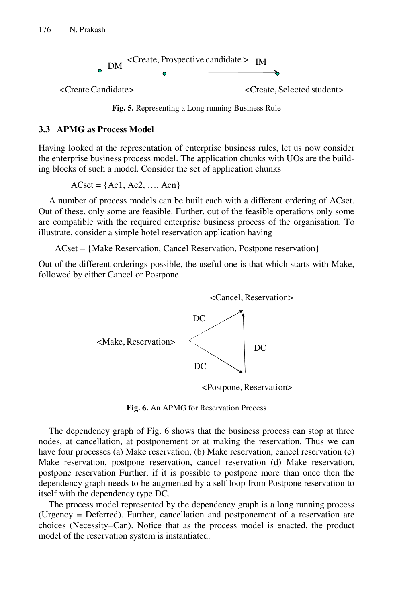



**Fig. 5.** Representing a Long running Business Rule

### **3.3 APMG as Process Model**

Having looked at the representation of enterprise business rules, let us now consider the enterprise business process model. The application chunks with UOs are the building blocks of such a model. Consider the set of application chunks

 $ACset = \{Ac1, Ac2, \ldots, Acn\}$ 

A number of process models can be built each with a different ordering of ACset. Out of these, only some are feasible. Further, out of the feasible operations only some are compatible with the required enterprise business process of the organisation. To illustrate, consider a simple hotel reservation application having

ACset = {Make Reservation, Cancel Reservation, Postpone reservation}

Out of the different orderings possible, the useful one is that which starts with Make, followed by either Cancel or Postpone.



<Postpone, Reservation>

**Fig. 6.** An APMG for Reservation Process

The dependency graph of Fig. 6 shows that the business process can stop at three nodes, at cancellation, at postponement or at making the reservation. Thus we can have four processes (a) Make reservation, (b) Make reservation, cancel reservation (c) Make reservation, postpone reservation, cancel reservation (d) Make reservation, postpone reservation Further, if it is possible to postpone more than once then the dependency graph needs to be augmented by a self loop from Postpone reservation to itself with the dependency type DC.

The process model represented by the dependency graph is a long running process (Urgency = Deferred). Further, cancellation and postponement of a reservation are choices (Necessity=Can). Notice that as the process model is enacted, the product model of the reservation system is instantiated.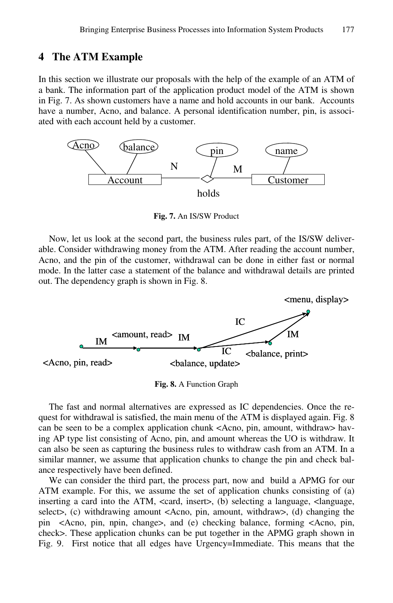#### **4 The ATM Example**

In this section we illustrate our proposals with the help of the example of an ATM of a bank. The information part of the application product model of the ATM is shown in Fig. 7. As shown customers have a name and hold accounts in our bank. Accounts have a number, Acno, and balance. A personal identification number, pin, is associated with each account held by a customer.



**Fig. 7.** An IS/SW Product

Now, let us look at the second part, the business rules part, of the IS/SW deliverable. Consider withdrawing money from the ATM. After reading the account number, Acno, and the pin of the customer, withdrawal can be done in either fast or normal mode. In the latter case a statement of the balance and withdrawal details are printed out. The dependency graph is shown in Fig. 8.



**Fig. 8.** A Function Graph

The fast and normal alternatives are expressed as IC dependencies. Once the request for withdrawal is satisfied, the main menu of the ATM is displayed again. Fig. 8 can be seen to be a complex application chunk <Acno, pin, amount, withdraw> having AP type list consisting of Acno, pin, and amount whereas the UO is withdraw. It can also be seen as capturing the business rules to withdraw cash from an ATM. In a similar manner, we assume that application chunks to change the pin and check balance respectively have been defined.

We can consider the third part, the process part, now and build a APMG for our ATM example. For this, we assume the set of application chunks consisting of (a) inserting a card into the ATM,  $\langle$ card, insert $\rangle$ , (b) selecting a language,  $\langle$ language, select>,  $(c)$  withdrawing amount <Acno, pin, amount, withdraw>,  $(d)$  changing the pin <Acno, pin, npin, change>, and (e) checking balance, forming <Acno, pin, check>. These application chunks can be put together in the APMG graph shown in Fig. 9. First notice that all edges have Urgency=Immediate. This means that the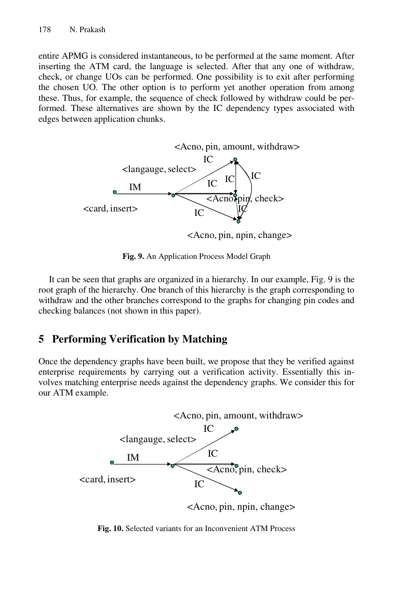entire APMG is considered instantaneous, to be performed at the same moment. After inserting the ATM card, the language is selected. After that any one of withdraw, check, or change UOs can be performed. One possibility is to exit after performing the chosen UO. The other option is to perform yet another operation from among these. Thus, for example, the sequence of check followed by withdraw could be performed. These alternatives are shown by the IC dependency types associated with edges between application chunks.



**Fig. 9.** An Application Process Model Graph

It can be seen that graphs are organized in a hierarchy. In our example, Fig. 9 is the root graph of the hierarchy. One branch of this hierarchy is the graph corresponding to withdraw and the other branches correspond to the graphs for changing pin codes and checking balances (not shown in this paper).

# **5 Performing Verification by Matching**

Once the dependency graphs have been built, we propose that they be verified against enterprise requirements by carrying out a verification activity. Essentially this involves matching enterprise needs against the dependency graphs. We consider this for our ATM example.



**Fig. 10.** Selected variants for an Inconvenient ATM Process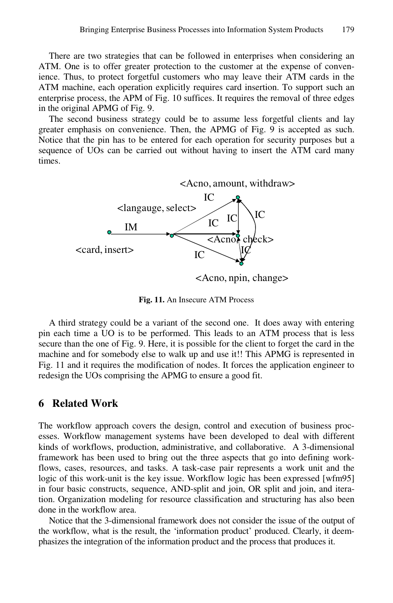There are two strategies that can be followed in enterprises when considering an ATM. One is to offer greater protection to the customer at the expense of convenience. Thus, to protect forgetful customers who may leave their ATM cards in the ATM machine, each operation explicitly requires card insertion. To support such an enterprise process, the APM of Fig. 10 suffices. It requires the removal of three edges in the original APMG of Fig. 9.

The second business strategy could be to assume less forgetful clients and lay greater emphasis on convenience. Then, the APMG of Fig. 9 is accepted as such. Notice that the pin has to be entered for each operation for security purposes but a sequence of UOs can be carried out without having to insert the ATM card many times.



<Acno, npin, change>

**Fig. 11.** An Insecure ATM Process

A third strategy could be a variant of the second one. It does away with entering pin each time a UO is to be performed. This leads to an ATM process that is less secure than the one of Fig. 9. Here, it is possible for the client to forget the card in the machine and for somebody else to walk up and use it!! This APMG is represented in Fig. 11 and it requires the modification of nodes. It forces the application engineer to redesign the UOs comprising the APMG to ensure a good fit.

#### **6 Related Work**

The workflow approach covers the design, control and execution of business processes. Workflow management systems have been developed to deal with different kinds of workflows, production, administrative, and collaborative. A 3-dimensional framework has been used to bring out the three aspects that go into defining workflows, cases, resources, and tasks. A task-case pair represents a work unit and the logic of this work-unit is the key issue. Workflow logic has been expressed [wfm95] in four basic constructs, sequence, AND-split and join, OR split and join, and iteration. Organization modeling for resource classification and structuring has also been done in the workflow area.

Notice that the 3-dimensional framework does not consider the issue of the output of the workflow, what is the result, the 'information product' produced. Clearly, it deemphasizes the integration of the information product and the process that produces it.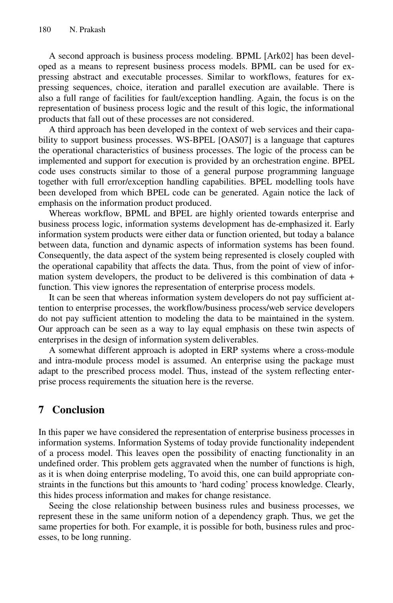A second approach is business process modeling. BPML [Ark02] has been developed as a means to represent business process models. BPML can be used for expressing abstract and executable processes. Similar to workflows, features for expressing sequences, choice, iteration and parallel execution are available. There is also a full range of facilities for fault/exception handling. Again, the focus is on the representation of business process logic and the result of this logic, the informational products that fall out of these processes are not considered.

A third approach has been developed in the context of web services and their capability to support business processes. WS-BPEL [OAS07] is a language that captures the operational characteristics of business processes. The logic of the process can be implemented and support for execution is provided by an orchestration engine. BPEL code uses constructs similar to those of a general purpose programming language together with full error/exception handling capabilities. BPEL modelling tools have been developed from which BPEL code can be generated. Again notice the lack of emphasis on the information product produced.

Whereas workflow, BPML and BPEL are highly oriented towards enterprise and business process logic, information systems development has de-emphasized it. Early information system products were either data or function oriented, but today a balance between data, function and dynamic aspects of information systems has been found. Consequently, the data aspect of the system being represented is closely coupled with the operational capability that affects the data. Thus, from the point of view of information system developers, the product to be delivered is this combination of data + function. This view ignores the representation of enterprise process models.

It can be seen that whereas information system developers do not pay sufficient attention to enterprise processes, the workflow/business process/web service developers do not pay sufficient attention to modeling the data to be maintained in the system. Our approach can be seen as a way to lay equal emphasis on these twin aspects of enterprises in the design of information system deliverables.

A somewhat different approach is adopted in ERP systems where a cross-module and intra-module process model is assumed. An enterprise using the package must adapt to the prescribed process model. Thus, instead of the system reflecting enterprise process requirements the situation here is the reverse.

# **7 Conclusion**

In this paper we have considered the representation of enterprise business processes in information systems. Information Systems of today provide functionality independent of a process model. This leaves open the possibility of enacting functionality in an undefined order. This problem gets aggravated when the number of functions is high, as it is when doing enterprise modeling, To avoid this, one can build appropriate constraints in the functions but this amounts to 'hard coding' process knowledge. Clearly, this hides process information and makes for change resistance.

Seeing the close relationship between business rules and business processes, we represent these in the same uniform notion of a dependency graph. Thus, we get the same properties for both. For example, it is possible for both, business rules and processes, to be long running.